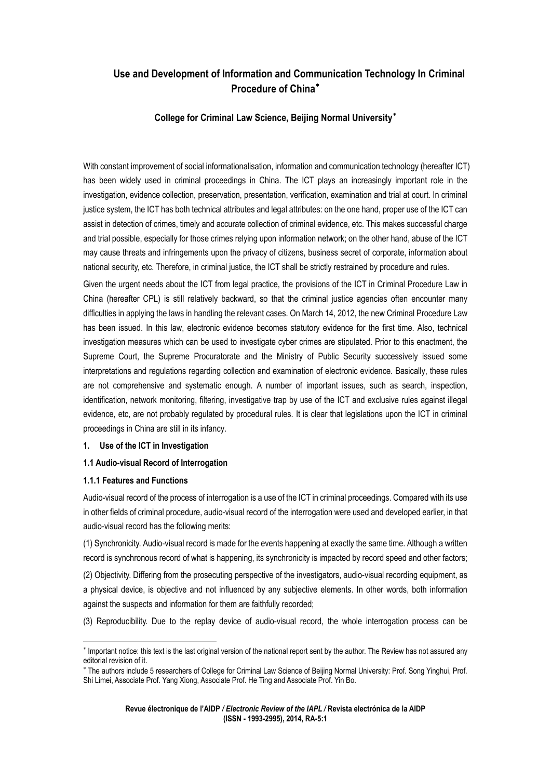# **Use and Development of Information and Communication Technology In Criminal Procedure of China**[∗](#page-0-0)

# **College for Criminal Law Science, Beijing Normal University**[∗](#page-0-1)

With constant improvement of social informationalisation, information and communication technology (hereafter ICT) has been widely used in criminal proceedings in China. The ICT plays an increasingly important role in the investigation, evidence collection, preservation, presentation, verification, examination and trial at court. In criminal justice system, the ICT has both technical attributes and legal attributes: on the one hand, proper use of the ICT can assist in detection of crimes, timely and accurate collection of criminal evidence, etc. This makes successful charge and trial possible, especially for those crimes relying upon information network; on the other hand, abuse of the ICT may cause threats and infringements upon the privacy of citizens, business secret of corporate, information about national security, etc. Therefore, in criminal justice, the ICT shall be strictly restrained by procedure and rules.

Given the urgent needs about the ICT from legal practice, the provisions of the ICT in Criminal Procedure Law in China (hereafter CPL) is still relatively backward, so that the criminal justice agencies often encounter many difficulties in applying the laws in handling the relevant cases. On March 14, 2012, the new Criminal Procedure Law has been issued. In this law, electronic evidence becomes statutory evidence for the first time. Also, technical investigation measures which can be used to investigate cyber crimes are stipulated. Prior to this enactment, the Supreme Court, the Supreme Procuratorate and the Ministry of Public Security successively issued some interpretations and regulations regarding collection and examination of electronic evidence. Basically, these rules are not comprehensive and systematic enough. A number of important issues, such as search, inspection, identification, network monitoring, filtering, investigative trap by use of the ICT and exclusive rules against illegal evidence, etc, are not probably regulated by procedural rules. It is clear that legislations upon the ICT in criminal proceedings in China are still in its infancy.

## **1. Use of the ICT in Investigation**

# **1.1 Audio-visual Record of Interrogation**

## **1.1.1 Features and Functions**

<u>.</u>

Audio-visual record of the process of interrogation is a use of the ICT in criminal proceedings. Compared with its use in other fields of criminal procedure, audio-visual record of the interrogation were used and developed earlier, in that audio-visual record has the following merits:

(1) Synchronicity. Audio-visual record is made for the events happening at exactly the same time. Although a written record is synchronous record of what is happening, its synchronicity is impacted by record speed and other factors;

(2) Objectivity. Differing from the prosecuting perspective of the investigators, audio-visual recording equipment, as a physical device, is objective and not influenced by any subjective elements. In other words, both information against the suspects and information for them are faithfully recorded;

(3) Reproducibility. Due to the replay device of audio-visual record, the whole interrogation process can be

<span id="page-0-0"></span><sup>∗</sup> Important notice: this text is the last original version of the national report sent by the author. The Review has not assured any editorial revision of it.

<span id="page-0-1"></span><sup>∗</sup> The authors include 5 researchers of College for Criminal Law Science of Beijing Normal University: Prof. Song Yinghui, Prof. Shi Limei, Associate Prof. Yang Xiong, Associate Prof. He Ting and Associate Prof. Yin Bo.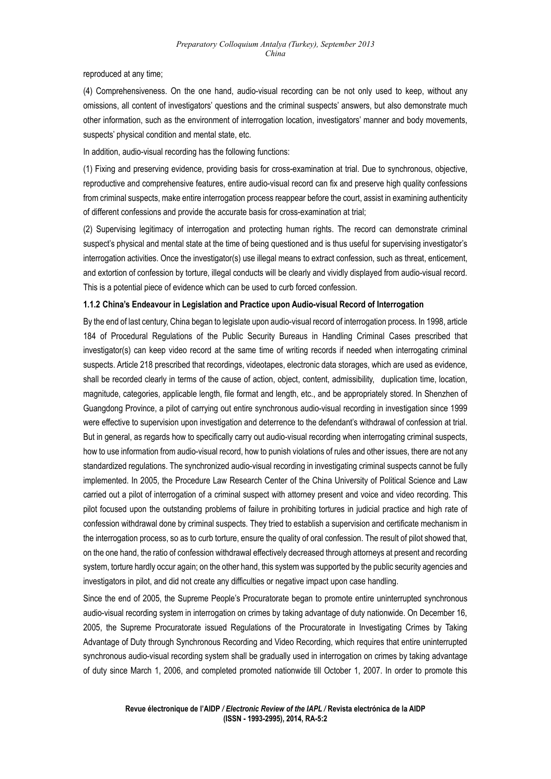reproduced at any time;

(4) Comprehensiveness. On the one hand, audio-visual recording can be not only used to keep, without any omissions, all content of investigators' questions and the criminal suspects' answers, but also demonstrate much other information, such as the environment of interrogation location, investigators' manner and body movements, suspects' physical condition and mental state, etc.

In addition, audio-visual recording has the following functions:

(1) Fixing and preserving evidence, providing basis for cross-examination at trial. Due to synchronous, objective, reproductive and comprehensive features, entire audio-visual record can fix and preserve high quality confessions from criminal suspects, make entire interrogation process reappear before the court, assist in examining authenticity of different confessions and provide the accurate basis for cross-examination at trial;

(2) Supervising legitimacy of interrogation and protecting human rights. The record can demonstrate criminal suspect's physical and mental state at the time of being questioned and is thus useful for supervising investigator's interrogation activities. Once the investigator(s) use illegal means to extract confession, such as threat, enticement, and extortion of confession by torture, illegal conducts will be clearly and vividly displayed from audio-visual record. This is a potential piece of evidence which can be used to curb forced confession.

## **1.1.2 China's Endeavour in Legislation and Practice upon Audio-visual Record of Interrogation**

By the end of last century, China began to legislate upon audio-visual record of interrogation process. In 1998, article 184 of Procedural Regulations of the Public Security Bureaus in Handling Criminal Cases prescribed that investigator(s) can keep video record at the same time of writing records if needed when interrogating criminal suspects. Article 218 prescribed that recordings, videotapes, electronic data storages, which are used as evidence, shall be recorded clearly in terms of the cause of action, object, content, admissibility, duplication time, location, magnitude, categories, applicable length, file format and length, etc., and be appropriately stored. In Shenzhen of Guangdong Province, a pilot of carrying out entire synchronous audio-visual recording in investigation since 1999 were effective to supervision upon investigation and deterrence to the defendant's withdrawal of confession at trial. But in general, as regards how to specifically carry out audio-visual recording when interrogating criminal suspects, how to use information from audio-visual record, how to punish violations of rules and other issues, there are not any standardized regulations. The synchronized audio-visual recording in investigating criminal suspects cannot be fully implemented. In 2005, the Procedure Law Research Center of the China University of Political Science and Law carried out a pilot of interrogation of a criminal suspect with attorney present and voice and video recording. This pilot focused upon the outstanding problems of failure in prohibiting tortures in judicial practice and high rate of confession withdrawal done by criminal suspects. They tried to establish a supervision and certificate mechanism in the interrogation process, so as to curb torture, ensure the quality of oral confession. The result of pilot showed that, on the one hand, the ratio of confession withdrawal effectively decreased through attorneys at present and recording system, torture hardly occur again; on the other hand, this system was supported by the public security agencies and investigators in pilot, and did not create any difficulties or negative impact upon case handling.

Since the end of 2005, the Supreme People's Procuratorate began to promote entire uninterrupted synchronous audio-visual recording system in interrogation on crimes by taking advantage of duty nationwide. On December 16, 2005, the Supreme Procuratorate issued Regulations of the Procuratorate in Investigating Crimes by Taking Advantage of Duty through Synchronous Recording and Video Recording, which requires that entire uninterrupted synchronous audio-visual recording system shall be gradually used in interrogation on crimes by taking advantage of duty since March 1, 2006, and completed promoted nationwide till October 1, 2007. In order to promote this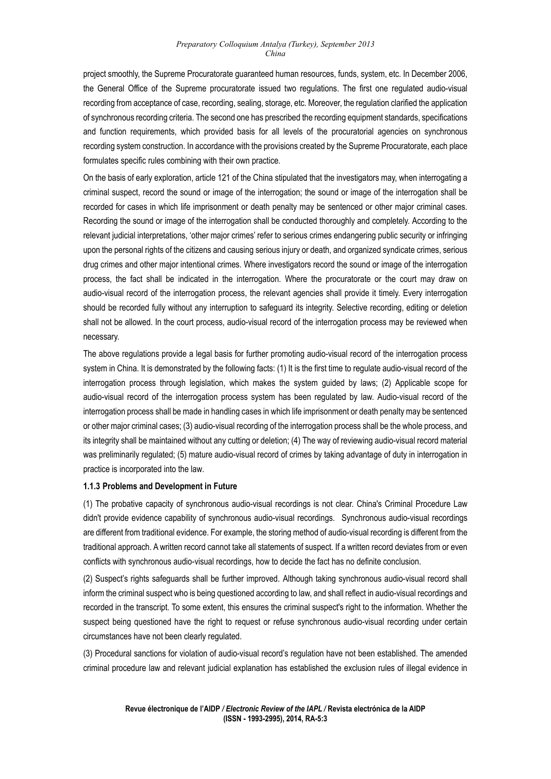project smoothly, the Supreme Procuratorate guaranteed human resources, funds, system, etc. In December 2006, the General Office of the Supreme procuratorate issued two regulations. The first one regulated audio-visual recording from acceptance of case, recording, sealing, storage, etc. Moreover, the regulation clarified the application of synchronous recording criteria. The second one has prescribed the recording equipment standards, specifications and function requirements, which provided basis for all levels of the procuratorial agencies on synchronous recording system construction. In accordance with the provisions created by the Supreme Procuratorate, each place formulates specific rules combining with their own practice.

On the basis of early exploration, article 121 of the China stipulated that the investigators may, when interrogating a criminal suspect, record the sound or image of the interrogation; the sound or image of the interrogation shall be recorded for cases in which life imprisonment or death penalty may be sentenced or other major criminal cases. Recording the sound or image of the interrogation shall be conducted thoroughly and completely. According to the relevant judicial interpretations, 'other major crimes' refer to serious crimes endangering public security or infringing upon the personal rights of the citizens and causing serious injury or death, and organized syndicate crimes, serious drug crimes and other major intentional crimes. Where investigators record the sound or image of the interrogation process, the fact shall be indicated in the interrogation. Where the procuratorate or the court may draw on audio-visual record of the interrogation process, the relevant agencies shall provide it timely. Every interrogation should be recorded fully without any interruption to safeguard its integrity. Selective recording, editing or deletion shall not be allowed. In the court process, audio-visual record of the interrogation process may be reviewed when necessary.

The above regulations provide a legal basis for further promoting audio-visual record of the interrogation process system in China. It is demonstrated by the following facts: (1) It is the first time to regulate audio-visual record of the interrogation process through legislation, which makes the system guided by laws; (2) Applicable scope for audio-visual record of the interrogation process system has been regulated by law. Audio-visual record of the interrogation process shall be made in handling cases in which life imprisonment or death penalty may be sentenced or other major criminal cases; (3) audio-visual recording of the interrogation process shall be the whole process, and its integrity shall be maintained without any cutting or deletion; (4) The way of reviewing audio-visual record material was preliminarily regulated; (5) mature audio-visual record of crimes by taking advantage of duty in interrogation in practice is incorporated into the law.

## **1.1.3 Problems and Development in Future**

(1) The probative capacity of synchronous audio-visual recordings is not clear. China's Criminal Procedure Law didn't provide evidence capability of synchronous audio-visual recordings. Synchronous audio-visual recordings are different from traditional evidence. For example, the storing method of audio-visual recording is different from the traditional approach. A written record cannot take all statements of suspect. If a written record deviates from or even conflicts with synchronous audio-visual recordings, how to decide the fact has no definite conclusion.

(2) Suspect's rights safeguards shall be further improved. Although taking synchronous audio-visual record shall inform the criminal suspect who is being questioned according to law, and shall reflect in audio-visual recordings and recorded in the transcript. To some extent, this ensures the criminal suspect's right to the information. Whether the suspect being questioned have the right to request or refuse synchronous audio-visual recording under certain circumstances have not been clearly regulated.

(3) Procedural sanctions for violation of audio-visual record's regulation have not been established. The amended criminal procedure law and relevant judicial explanation has established the exclusion rules of illegal evidence in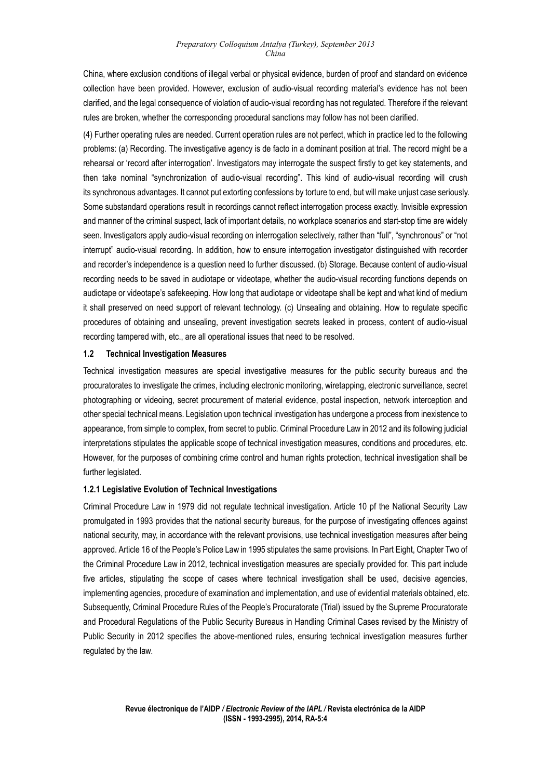China, where exclusion conditions of illegal verbal or physical evidence, burden of proof and standard on evidence collection have been provided. However, exclusion of audio-visual recording material's evidence has not been clarified, and the legal consequence of violation of audio-visual recording has not regulated. Therefore if the relevant rules are broken, whether the corresponding procedural sanctions may follow has not been clarified.

(4) Further operating rules are needed. Current operation rules are not perfect, which in practice led to the following problems: (a) Recording. The investigative agency is de facto in a dominant position at trial. The record might be a rehearsal or 'record after interrogation'. Investigators may interrogate the suspect firstly to get key statements, and then take nominal "synchronization of audio-visual recording". This kind of audio-visual recording will crush its synchronous advantages. It cannot put extorting confessions by torture to end, but will make unjust case seriously. Some substandard operations result in recordings cannot reflect interrogation process exactly. Invisible expression and manner of the criminal suspect, lack of important details, no workplace scenarios and start-stop time are widely seen. Investigators apply audio-visual recording on interrogation selectively, rather than "full", "synchronous" or "not interrupt" audio-visual recording. In addition, how to ensure interrogation investigator distinguished with recorder and recorder's independence is a question need to further discussed. (b) Storage. Because content of audio-visual recording needs to be saved in audiotape or videotape, whether the audio-visual recording functions depends on audiotape or videotape's safekeeping. How long that audiotape or videotape shall be kept and what kind of medium it shall preserved on need support of relevant technology. (c) Unsealing and obtaining. How to regulate specific procedures of obtaining and unsealing, prevent investigation secrets leaked in process, content of audio-visual recording tampered with, etc., are all operational issues that need to be resolved.

## **1.2 Technical Investigation Measures**

Technical investigation measures are special investigative measures for the public security bureaus and the procuratorates to investigate the crimes, including electronic monitoring, wiretapping, electronic surveillance, secret photographing or videoing, secret procurement of material evidence, postal inspection, network interception and other special technical means. Legislation upon technical investigation has undergone a process from inexistence to appearance, from simple to complex, from secret to public. Criminal Procedure Law in 2012 and its following judicial interpretations stipulates the applicable scope of technical investigation measures, conditions and procedures, etc. However, for the purposes of combining crime control and human rights protection, technical investigation shall be further legislated.

# **1.2.1 Legislative Evolution of Technical Investigations**

Criminal Procedure Law in 1979 did not regulate technical investigation. Article 10 pf the National Security Law promulgated in 1993 provides that the national security bureaus, for the purpose of investigating offences against national security, may, in accordance with the relevant provisions, use technical investigation measures after being approved. Article 16 of the People's Police Law in 1995 stipulates the same provisions. In Part Eight, Chapter Two of the Criminal Procedure Law in 2012, technical investigation measures are specially provided for. This part include five articles, stipulating the scope of cases where technical investigation shall be used, decisive agencies, implementing agencies, procedure of examination and implementation, and use of evidential materials obtained, etc. Subsequently, Criminal Procedure Rules of the People's Procuratorate (Trial) issued by the Supreme Procuratorate and Procedural Regulations of the Public Security Bureaus in Handling Criminal Cases revised by the Ministry of Public Security in 2012 specifies the above-mentioned rules, ensuring technical investigation measures further regulated by the law.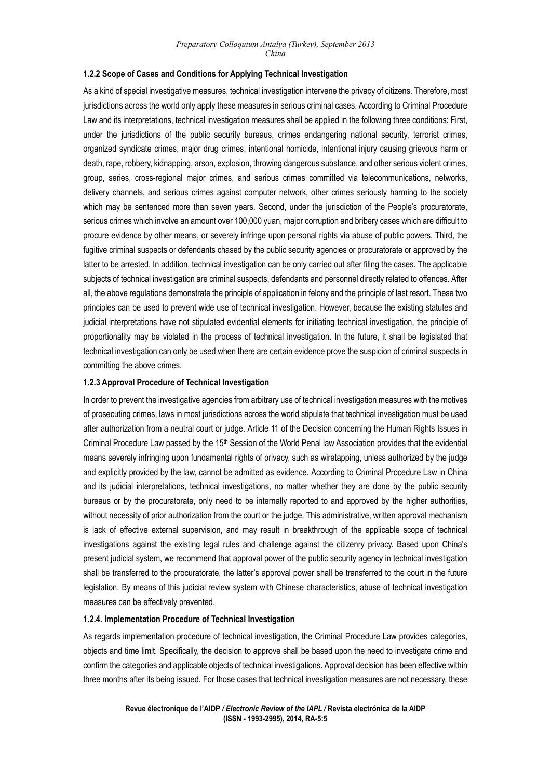## **1.2.2 Scope of Cases and Conditions for Applying Technical Investigation**

As a kind of special investigative measures, technical investigation intervene the privacy of citizens. Therefore, most jurisdictions across the world only apply these measures in serious criminal cases. According to Criminal Procedure Law and its interpretations, technical investigation measures shall be applied in the following three conditions: First, under the jurisdictions of the public security bureaus, crimes endangering national security, terrorist crimes, organized syndicate crimes, major drug crimes, intentional homicide, intentional injury causing grievous harm or death, rape, robbery, kidnapping, arson, explosion, throwing dangerous substance, and other serious violent crimes, group, series, cross-regional major crimes, and serious crimes committed via telecommunications, networks, delivery channels, and serious crimes against computer network, other crimes seriously harming to the society which may be sentenced more than seven years. Second, under the jurisdiction of the People's procuratorate, serious crimes which involve an amount over 100,000 yuan, major corruption and bribery cases which are difficult to procure evidence by other means, or severely infringe upon personal rights via abuse of public powers. Third, the fugitive criminal suspects or defendants chased by the public security agencies or procuratorate or approved by the latter to be arrested. In addition, technical investigation can be only carried out after filing the cases. The applicable subjects of technical investigation are criminal suspects, defendants and personnel directly related to offences. After all, the above regulations demonstrate the principle of application in felony and the principle of last resort. These two principles can be used to prevent wide use of technical investigation. However, because the existing statutes and judicial interpretations have not stipulated evidential elements for initiating technical investigation, the principle of proportionality may be violated in the process of technical investigation. In the future, it shall be legislated that technical investigation can only be used when there are certain evidence prove the suspicion of criminal suspects in committing the above crimes.

#### **1.2.3 Approval Procedure of Technical Investigation**

In order to prevent the investigative agencies from arbitrary use of technical investigation measures with the motives of prosecuting crimes, laws in most jurisdictions across the world stipulate that technical investigation must be used after authorization from a neutral court or judge. Article 11 of the Decision concerning the Human Rights Issues in Criminal Procedure Law passed by the 15th Session of the World Penal law Association provides that the evidential means severely infringing upon fundamental rights of privacy, such as wiretapping, unless authorized by the judge and explicitly provided by the law, cannot be admitted as evidence. According to Criminal Procedure Law in China and its judicial interpretations, technical investigations, no matter whether they are done by the public security bureaus or by the procuratorate, only need to be internally reported to and approved by the higher authorities, without necessity of prior authorization from the court or the judge. This administrative, written approval mechanism is lack of effective external supervision, and may result in breakthrough of the applicable scope of technical investigations against the existing legal rules and challenge against the citizenry privacy. Based upon China's present judicial system, we recommend that approval power of the public security agency in technical investigation shall be transferred to the procuratorate, the latter's approval power shall be transferred to the court in the future legislation. By means of this judicial review system with Chinese characteristics, abuse of technical investigation measures can be effectively prevented.

#### **1.2.4. Implementation Procedure of Technical Investigation**

As regards implementation procedure of technical investigation, the Criminal Procedure Law provides categories, objects and time limit. Specifically, the decision to approve shall be based upon the need to investigate crime and confirm the categories and applicable objects of technical investigations. Approval decision has been effective within three months after its being issued. For those cases that technical investigation measures are not necessary, these

> **Revue électronique de l'AIDP** */ Electronic Review of the IAPL /* **Revista electrónica de la AIDP (ISSN - 1993-2995), 2014, RA-5:5**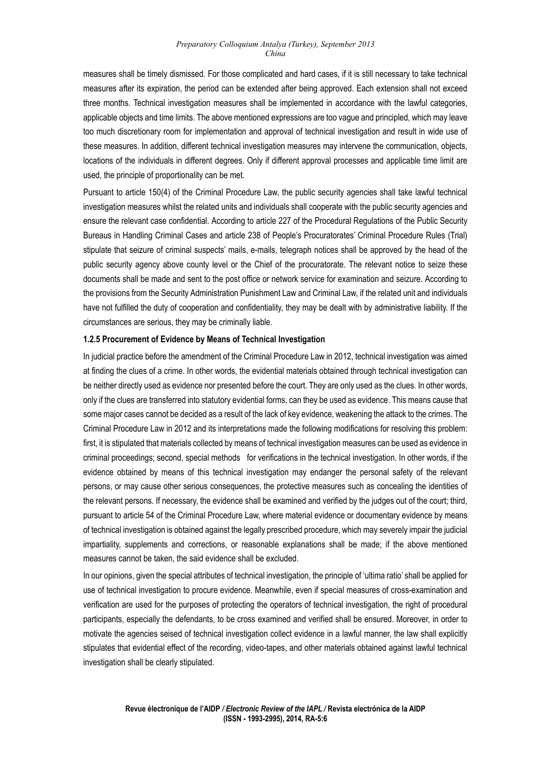measures shall be timely dismissed. For those complicated and hard cases, if it is still necessary to take technical measures after its expiration, the period can be extended after being approved. Each extension shall not exceed three months. Technical investigation measures shall be implemented in accordance with the lawful categories, applicable objects and time limits. The above mentioned expressions are too vague and principled, which may leave too much discretionary room for implementation and approval of technical investigation and result in wide use of these measures. In addition, different technical investigation measures may intervene the communication, objects, locations of the individuals in different degrees. Only if different approval processes and applicable time limit are used, the principle of proportionality can be met.

Pursuant to article 150(4) of the Criminal Procedure Law, the public security agencies shall take lawful technical investigation measures whilst the related units and individuals shall cooperate with the public security agencies and ensure the relevant case confidential. According to article 227 of the Procedural Regulations of the Public Security Bureaus in Handling Criminal Cases and article 238 of People's Procuratorates' Criminal Procedure Rules (Trial) stipulate that seizure of criminal suspects' mails, e-mails, telegraph notices shall be approved by the head of the public security agency above county level or the Chief of the procuratorate. The relevant notice to seize these documents shall be made and sent to the post office or network service for examination and seizure. According to the provisions from the Security Administration Punishment Law and Criminal Law, if the related unit and individuals have not fulfilled the duty of cooperation and confidentiality, they may be dealt with by administrative liability. If the circumstances are serious, they may be criminally liable.

#### **1.2.5 Procurement of Evidence by Means of Technical Investigation**

In judicial practice before the amendment of the Criminal Procedure Law in 2012, technical investigation was aimed at finding the clues of a crime. In other words, the evidential materials obtained through technical investigation can be neither directly used as evidence nor presented before the court. They are only used as the clues. In other words, only if the clues are transferred into statutory evidential forms, can they be used as evidence. This means cause that some major cases cannot be decided as a result of the lack of key evidence, weakening the attack to the crimes. The Criminal Procedure Law in 2012 and its interpretations made the following modifications for resolving this problem: first, it is stipulated that materials collected by means of technical investigation measures can be used as evidence in criminal proceedings; second, special methods for verifications in the technical investigation. In other words, if the evidence obtained by means of this technical investigation may endanger the personal safety of the relevant persons, or may cause other serious consequences, the protective measures such as concealing the identities of the relevant persons. If necessary, the evidence shall be examined and verified by the judges out of the court; third, pursuant to article 54 of the Criminal Procedure Law, where material evidence or documentary evidence by means of technical investigation is obtained against the legally prescribed procedure, which may severely impair the judicial impartiality, supplements and corrections, or reasonable explanations shall be made; if the above mentioned measures cannot be taken, the said evidence shall be excluded.

In our opinions, given the special attributes of technical investigation, the principle of 'ultima ratio' shall be applied for use of technical investigation to procure evidence. Meanwhile, even if special measures of cross-examination and verification are used for the purposes of protecting the operators of technical investigation, the right of procedural participants, especially the defendants, to be cross examined and verified shall be ensured. Moreover, in order to motivate the agencies seised of technical investigation collect evidence in a lawful manner, the law shall explicitly stipulates that evidential effect of the recording, video-tapes, and other materials obtained against lawful technical investigation shall be clearly stipulated.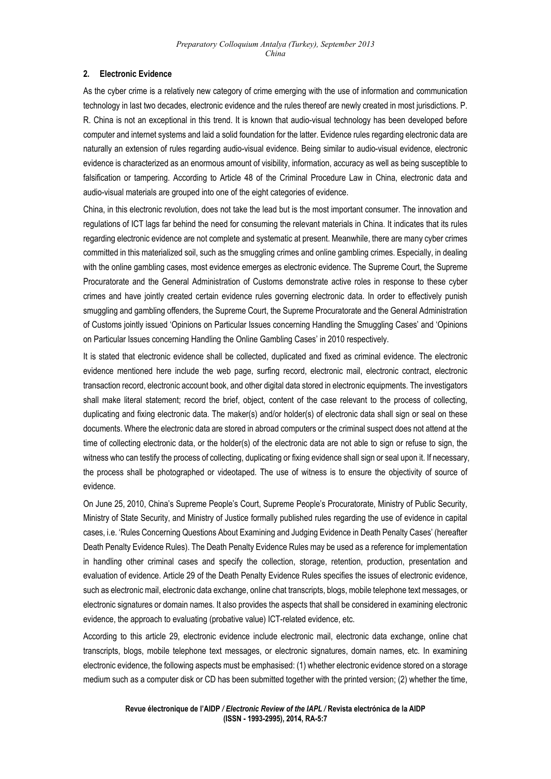# **2. Electronic Evidence**

As the cyber crime is a relatively new category of crime emerging with the use of information and communication technology in last two decades, electronic evidence and the rules thereof are newly created in most jurisdictions. P. R. China is not an exceptional in this trend. It is known that audio-visual technology has been developed before computer and internet systems and laid a solid foundation for the latter. Evidence rules regarding electronic data are naturally an extension of rules regarding audio-visual evidence. Being similar to audio-visual evidence, electronic evidence is characterized as an enormous amount of visibility, information, accuracy as well as being susceptible to falsification or tampering. According to Article 48 of the Criminal Procedure Law in China, electronic data and audio-visual materials are grouped into one of the eight categories of evidence.

China, in this electronic revolution, does not take the lead but is the most important consumer. The innovation and regulations of ICT lags far behind the need for consuming the relevant materials in China. It indicates that its rules regarding electronic evidence are not complete and systematic at present. Meanwhile, there are many cyber crimes committed in this materialized soil, such as the smuggling crimes and online gambling crimes. Especially, in dealing with the online gambling cases, most evidence emerges as electronic evidence. The Supreme Court, the Supreme Procuratorate and the General Administration of Customs demonstrate active roles in response to these cyber crimes and have jointly created certain evidence rules governing electronic data. In order to effectively punish smuggling and gambling offenders, the Supreme Court, the Supreme Procuratorate and the General Administration of Customs jointly issued 'Opinions on Particular Issues concerning Handling the Smuggling Cases' and 'Opinions on Particular Issues concerning Handling the Online Gambling Cases' in 2010 respectively.

It is stated that electronic evidence shall be collected, duplicated and fixed as criminal evidence. The electronic evidence mentioned here include the web page, surfing record, electronic mail, electronic contract, electronic transaction record, electronic account book, and other digital data stored in electronic equipments. The investigators shall make literal statement; record the brief, object, content of the case relevant to the process of collecting, duplicating and fixing electronic data. The maker(s) and/or holder(s) of electronic data shall sign or seal on these documents. Where the electronic data are stored in abroad computers or the criminal suspect does not attend at the time of collecting electronic data, or the holder(s) of the electronic data are not able to sign or refuse to sign, the witness who can testify the process of collecting, duplicating or fixing evidence shall sign or seal upon it. If necessary, the process shall be photographed or videotaped. The use of witness is to ensure the objectivity of source of evidence.

On June 25, 2010, China's Supreme People's Court, Supreme People's Procuratorate, Ministry of Public Security, Ministry of State Security, and Ministry of Justice formally published rules regarding the use of evidence in capital cases, i.e. 'Rules Concerning Questions About Examining and Judging Evidence in Death Penalty Cases' (hereafter Death Penalty Evidence Rules). The Death Penalty Evidence Rules may be used as a reference for implementation in handling other criminal cases and specify the collection, storage, retention, production, presentation and evaluation of evidence. Article 29 of the Death Penalty Evidence Rules specifies the issues of electronic evidence, such as electronic mail, electronic data exchange, online chat transcripts, blogs, mobile telephone text messages, or electronic signatures or domain names. It also provides the aspects that shall be considered in examining electronic evidence, the approach to evaluating (probative value) ICT-related evidence, etc.

According to this article 29, electronic evidence include electronic mail, electronic data exchange, online chat transcripts, blogs, mobile telephone text messages, or electronic signatures, domain names, etc. In examining electronic evidence, the following aspects must be emphasised: (1) whether electronic evidence stored on a storage medium such as a computer disk or CD has been submitted together with the printed version; (2) whether the time,

> **Revue électronique de l'AIDP** */ Electronic Review of the IAPL /* **Revista electrónica de la AIDP (ISSN - 1993-2995), 2014, RA-5:7**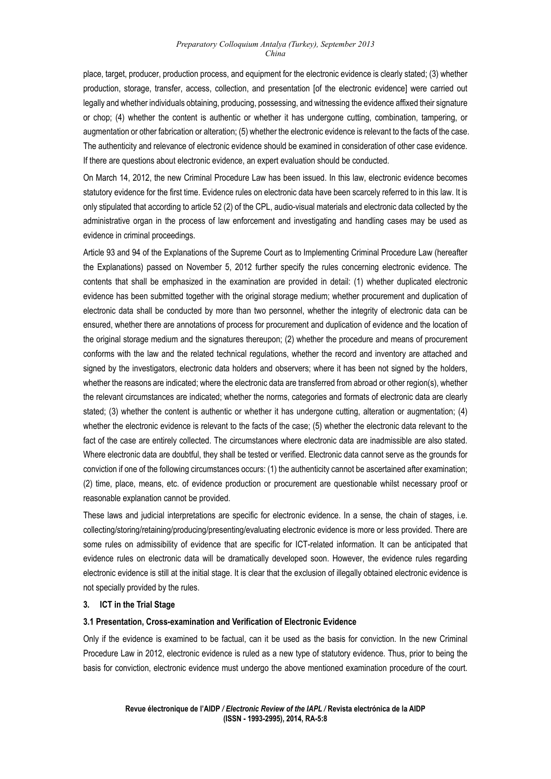place, target, producer, production process, and equipment for the electronic evidence is clearly stated; (3) whether production, storage, transfer, access, collection, and presentation [of the electronic evidence] were carried out legally and whether individuals obtaining, producing, possessing, and witnessing the evidence affixed their signature or chop; (4) whether the content is authentic or whether it has undergone cutting, combination, tampering, or augmentation or other fabrication or alteration; (5) whether the electronic evidence is relevant to the facts of the case. The authenticity and relevance of electronic evidence should be examined in consideration of other case evidence. If there are questions about electronic evidence, an expert evaluation should be conducted.

On March 14, 2012, the new Criminal Procedure Law has been issued. In this law, electronic evidence becomes statutory evidence for the first time. Evidence rules on electronic data have been scarcely referred to in this law. It is only stipulated that according to article 52 (2) of the CPL, audio-visual materials and electronic data collected by the administrative organ in the process of law enforcement and investigating and handling cases may be used as evidence in criminal proceedings.

Article 93 and 94 of the Explanations of the Supreme Court as to Implementing Criminal Procedure Law (hereafter the Explanations) passed on November 5, 2012 further specify the rules concerning electronic evidence. The contents that shall be emphasized in the examination are provided in detail: (1) whether duplicated electronic evidence has been submitted together with the original storage medium; whether procurement and duplication of electronic data shall be conducted by more than two personnel, whether the integrity of electronic data can be ensured, whether there are annotations of process for procurement and duplication of evidence and the location of the original storage medium and the signatures thereupon; (2) whether the procedure and means of procurement conforms with the law and the related technical regulations, whether the record and inventory are attached and signed by the investigators, electronic data holders and observers; where it has been not signed by the holders, whether the reasons are indicated; where the electronic data are transferred from abroad or other region(s), whether the relevant circumstances are indicated; whether the norms, categories and formats of electronic data are clearly stated; (3) whether the content is authentic or whether it has undergone cutting, alteration or augmentation; (4) whether the electronic evidence is relevant to the facts of the case; (5) whether the electronic data relevant to the fact of the case are entirely collected. The circumstances where electronic data are inadmissible are also stated. Where electronic data are doubtful, they shall be tested or verified. Electronic data cannot serve as the grounds for conviction if one of the following circumstances occurs: (1) the authenticity cannot be ascertained after examination; (2) time, place, means, etc. of evidence production or procurement are questionable whilst necessary proof or reasonable explanation cannot be provided.

These laws and judicial interpretations are specific for electronic evidence. In a sense, the chain of stages, i.e. collecting/storing/retaining/producing/presenting/evaluating electronic evidence is more or less provided. There are some rules on admissibility of evidence that are specific for ICT-related information. It can be anticipated that evidence rules on electronic data will be dramatically developed soon. However, the evidence rules regarding electronic evidence is still at the initial stage. It is clear that the exclusion of illegally obtained electronic evidence is not specially provided by the rules.

# **3. ICT in the Trial Stage**

## **3.1 Presentation, Cross-examination and Verification of Electronic Evidence**

Only if the evidence is examined to be factual, can it be used as the basis for conviction. In the new Criminal Procedure Law in 2012, electronic evidence is ruled as a new type of statutory evidence. Thus, prior to being the basis for conviction, electronic evidence must undergo the above mentioned examination procedure of the court.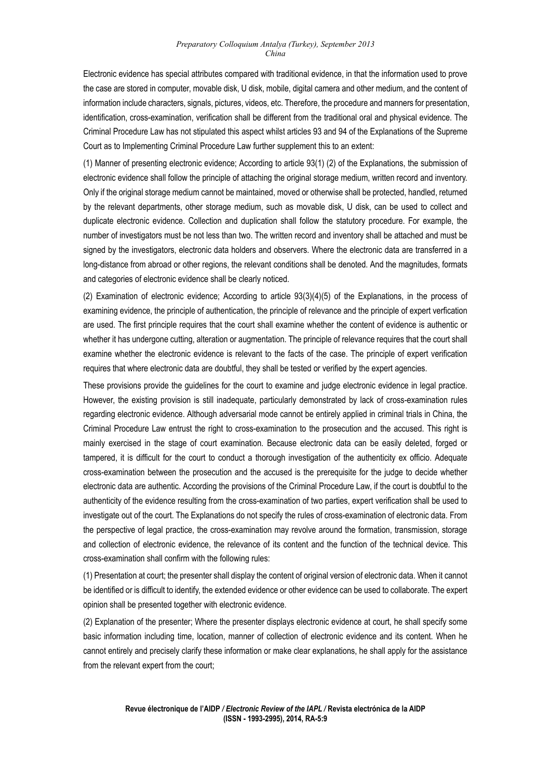Electronic evidence has special attributes compared with traditional evidence, in that the information used to prove the case are stored in computer, movable disk, U disk, mobile, digital camera and other medium, and the content of information include characters, signals, pictures, videos, etc. Therefore, the procedure and manners for presentation, identification, cross-examination, verification shall be different from the traditional oral and physical evidence. The Criminal Procedure Law has not stipulated this aspect whilst articles 93 and 94 of the Explanations of the Supreme Court as to Implementing Criminal Procedure Law further supplement this to an extent:

(1) Manner of presenting electronic evidence; According to article 93(1) (2) of the Explanations, the submission of electronic evidence shall follow the principle of attaching the original storage medium, written record and inventory. Only if the original storage medium cannot be maintained, moved or otherwise shall be protected, handled, returned by the relevant departments, other storage medium, such as movable disk, U disk, can be used to collect and duplicate electronic evidence. Collection and duplication shall follow the statutory procedure. For example, the number of investigators must be not less than two. The written record and inventory shall be attached and must be signed by the investigators, electronic data holders and observers. Where the electronic data are transferred in a long-distance from abroad or other regions, the relevant conditions shall be denoted. And the magnitudes, formats and categories of electronic evidence shall be clearly noticed.

(2) Examination of electronic evidence; According to article 93(3)(4)(5) of the Explanations, in the process of examining evidence, the principle of authentication, the principle of relevance and the principle of expert verfication are used. The first principle requires that the court shall examine whether the content of evidence is authentic or whether it has undergone cutting, alteration or augmentation. The principle of relevance requires that the court shall examine whether the electronic evidence is relevant to the facts of the case. The principle of expert verification requires that where electronic data are doubtful, they shall be tested or verified by the expert agencies.

These provisions provide the guidelines for the court to examine and judge electronic evidence in legal practice. However, the existing provision is still inadequate, particularly demonstrated by lack of cross-examination rules regarding electronic evidence. Although adversarial mode cannot be entirely applied in criminal trials in China, the Criminal Procedure Law entrust the right to cross-examination to the prosecution and the accused. This right is mainly exercised in the stage of court examination. Because electronic data can be easily deleted, forged or tampered, it is difficult for the court to conduct a thorough investigation of the authenticity ex officio. Adequate cross-examination between the prosecution and the accused is the prerequisite for the judge to decide whether electronic data are authentic. According the provisions of the Criminal Procedure Law, if the court is doubtful to the authenticity of the evidence resulting from the cross-examination of two parties, expert verification shall be used to investigate out of the court. The Explanations do not specify the rules of cross-examination of electronic data. From the perspective of legal practice, the cross-examination may revolve around the formation, transmission, storage and collection of electronic evidence, the relevance of its content and the function of the technical device. This cross-examination shall confirm with the following rules:

(1) Presentation at court; the presenter shall display the content of original version of electronic data. When it cannot be identified or is difficult to identify, the extended evidence or other evidence can be used to collaborate. The expert opinion shall be presented together with electronic evidence.

(2) Explanation of the presenter; Where the presenter displays electronic evidence at court, he shall specify some basic information including time, location, manner of collection of electronic evidence and its content. When he cannot entirely and precisely clarify these information or make clear explanations, he shall apply for the assistance from the relevant expert from the court;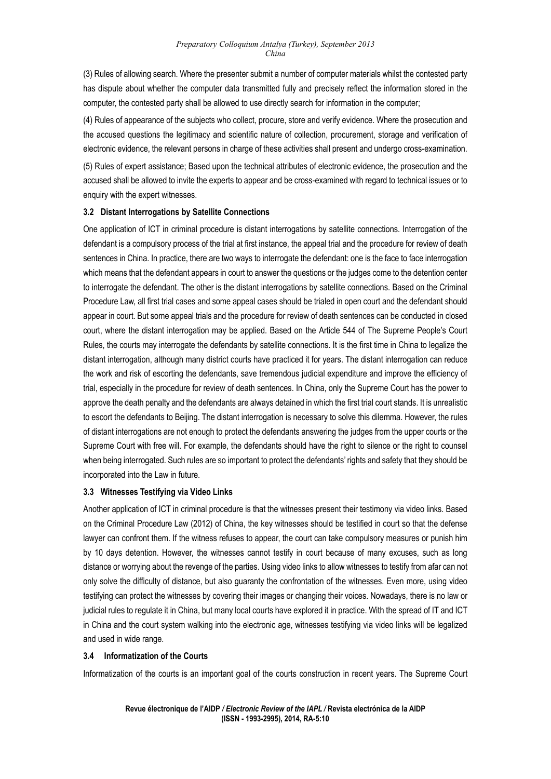(3) Rules of allowing search. Where the presenter submit a number of computer materials whilst the contested party has dispute about whether the computer data transmitted fully and precisely reflect the information stored in the computer, the contested party shall be allowed to use directly search for information in the computer;

(4) Rules of appearance of the subjects who collect, procure, store and verify evidence. Where the prosecution and the accused questions the legitimacy and scientific nature of collection, procurement, storage and verification of electronic evidence, the relevant persons in charge of these activities shall present and undergo cross-examination.

(5) Rules of expert assistance; Based upon the technical attributes of electronic evidence, the prosecution and the accused shall be allowed to invite the experts to appear and be cross-examined with regard to technical issues or to enquiry with the expert witnesses.

# **3.2 Distant Interrogations by Satellite Connections**

One application of ICT in criminal procedure is distant interrogations by satellite connections. Interrogation of the defendant is a compulsory process of the trial at first instance, the appeal trial and the procedure for review of death sentences in China. In practice, there are two ways to interrogate the defendant: one is the face to face interrogation which means that the defendant appears in court to answer the questions or the judges come to the detention center to interrogate the defendant. The other is the distant interrogations by satellite connections. Based on the Criminal Procedure Law, all first trial cases and some appeal cases should be trialed in open court and the defendant should appear in court. But some appeal trials and the procedure for review of death sentences can be conducted in closed court, where the distant interrogation may be applied. Based on the Article 544 of The Supreme People's Court Rules, the courts may interrogate the defendants by satellite connections. It is the first time in China to legalize the distant interrogation, although many district courts have practiced it for years. The distant interrogation can reduce the work and risk of escorting the defendants, save tremendous judicial expenditure and improve the efficiency of trial, especially in the procedure for review of death sentences. In China, only the Supreme Court has the power to approve the death penalty and the defendants are always detained in which the first trial court stands. It is unrealistic to escort the defendants to Beijing. The distant interrogation is necessary to solve this dilemma. However, the rules of distant interrogations are not enough to protect the defendants answering the judges from the upper courts or the Supreme Court with free will. For example, the defendants should have the right to silence or the right to counsel when being interrogated. Such rules are so important to protect the defendants' rights and safety that they should be incorporated into the Law in future.

# **3.3 Witnesses Testifying via Video Links**

Another application of ICT in criminal procedure is that the witnesses present their testimony via video links. Based on the Criminal Procedure Law (2012) of China, the key witnesses should be testified in court so that the defense lawyer can confront them. If the witness refuses to appear, the court can take compulsory measures or punish him by 10 days detention. However, the witnesses cannot testify in court because of many excuses, such as long distance or worrying about the revenge of the parties. Using video links to allow witnesses to testify from afar can not only solve the difficulty of distance, but also guaranty the confrontation of the witnesses. Even more, using video testifying can protect the witnesses by covering their images or changing their voices. Nowadays, there is no law or judicial rules to regulate it in China, but many local courts have explored it in practice. With the spread of IT and ICT in China and the court system walking into the electronic age, witnesses testifying via video links will be legalized and used in wide range.

# **3.4 Informatization of the Courts**

Informatization of the courts is an important goal of the courts construction in recent years. The Supreme Court